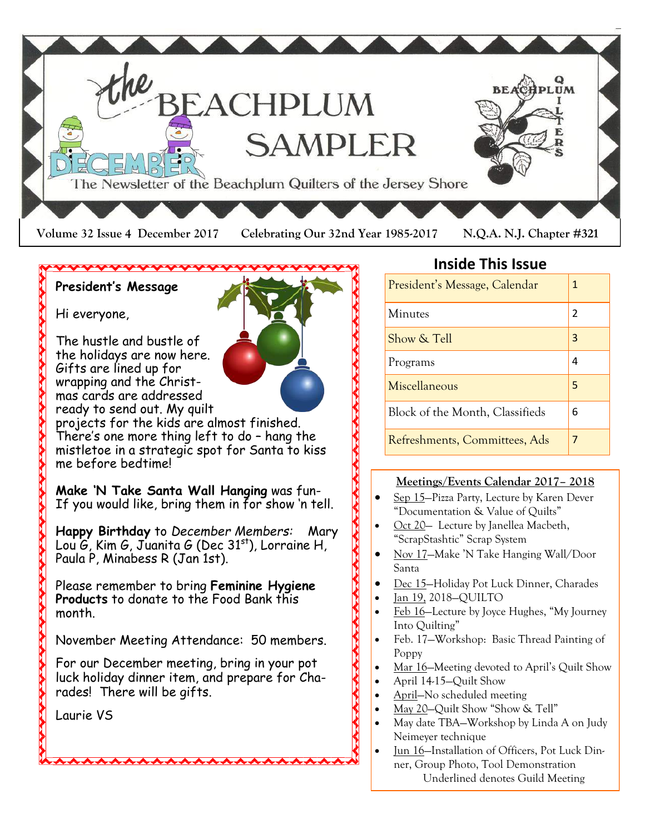

### **President's Message**

Hi everyone,

The hustle and bustle of the holidays are now here. Gifts are lined up for wrapping and the Christmas cards are addressed ready to send out. My quilt

projects for the kids are almost finished. There's one more thing left to do – hang the mistletoe in a strategic spot for Santa to kiss me before bedtime!

**Make 'N Take Santa Wall Hanging** was fun-If you would like, bring them in for show 'n tell.

**Happy Birthday** to *December Members:* Mary Lou  $G$ , Kim G, Juanita G (Dec  $31<sup>st</sup>$ ), Lorraine H, Paula P, Minabess R (Jan 1st).

Please remember to bring **Feminine Hygiene Products** to donate to the Food Bank this month.

November Meeting Attendance: 50 members.

For our December meeting, bring in your pot luck holiday dinner item, and prepare for Charades! There will be gifts.

**AAAAAAAAAAAAA** 

Laurie VS

### **Inside This Issue**

| President's Message, Calendar   | 1 |
|---------------------------------|---|
| Minutes                         | 2 |
| Show & Tell                     | 3 |
| Programs                        | 4 |
| Miscellaneous                   | 5 |
| Block of the Month, Classifieds | 6 |
| Refreshments, Committees, Ads   |   |

### **Meetings/Events Calendar 2017– 2018**

- Sep 15—Pizza Party, Lecture by Karen Dever "Documentation & Value of Quilts"
- Oct 20 Lecture by Janellea Macbeth, "ScrapStashtic" Scrap System
- Nov 17—Make 'N Take Hanging Wall/Door Santa
- Dec 15—Holiday Pot Luck Dinner, Charades
- Jan 19, 2018—QUILTO

**AAAAAAA** 

**AAAAAAAA** 

- Feb 16—Lecture by Joyce Hughes, "My Journey Into Quilting"
- Feb. 17—Workshop: Basic Thread Painting of Poppy
- Mar 16–Meeting devoted to April's Quilt Show
- April 14-15—Quilt Show
- April—No scheduled meeting
- May 20-Quilt Show "Show & Tell"
- May date TBA—Workshop by Linda A on Judy Neimeyer technique
- Jun 16—Installation of Officers, Pot Luck Dinner, Group Photo, Tool Demonstration Underlined denotes Guild Meeting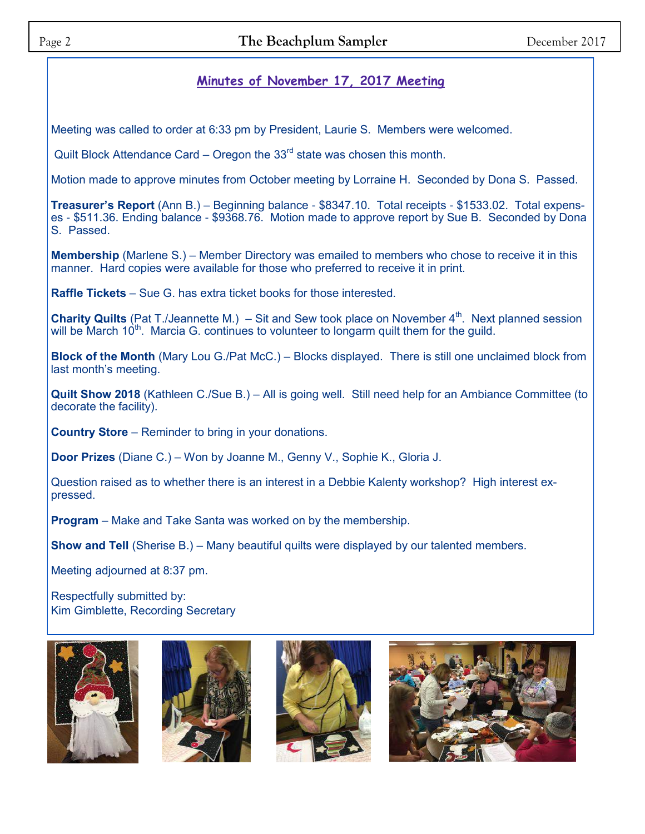### **Minutes of November 17, 2017 Meeting**

Meeting was called to order at 6:33 pm by President, Laurie S. Members were welcomed.

Quilt Block Attendance Card – Oregon the  $33<sup>rd</sup>$  state was chosen this month.

Motion made to approve minutes from October meeting by Lorraine H. Seconded by Dona S. Passed.

**Treasurer's Report** (Ann B.) – Beginning balance - \$8347.10. Total receipts - \$1533.02. Total expenses - \$511.36. Ending balance - \$9368.76. Motion made to approve report by Sue B. Seconded by Dona S. Passed.

**Membership** (Marlene S.) – Member Directory was emailed to members who chose to receive it in this manner. Hard copies were available for those who preferred to receive it in print.

**Raffle Tickets** – Sue G. has extra ticket books for those interested.

**Charity Quilts** (Pat T./Jeannette M.) – Sit and Sew took place on November 4<sup>th</sup>. Next planned session will be March 10<sup>th</sup>. Marcia G. continues to volunteer to longarm quilt them for the quild.

**Block of the Month** (Mary Lou G./Pat McC.) – Blocks displayed. There is still one unclaimed block from last month's meeting.

**Quilt Show 2018** (Kathleen C./Sue B.) – All is going well. Still need help for an Ambiance Committee (to decorate the facility).

**Country Store** – Reminder to bring in your donations.

**Door Prizes** (Diane C.) – Won by Joanne M., Genny V., Sophie K., Gloria J.

Question raised as to whether there is an interest in a Debbie Kalenty workshop? High interest expressed.

**Program** – Make and Take Santa was worked on by the membership.

**Show and Tell** (Sherise B.) – Many beautiful quilts were displayed by our talented members.

Meeting adjourned at 8:37 pm.

Respectfully submitted by: Kim Gimblette, Recording Secretary







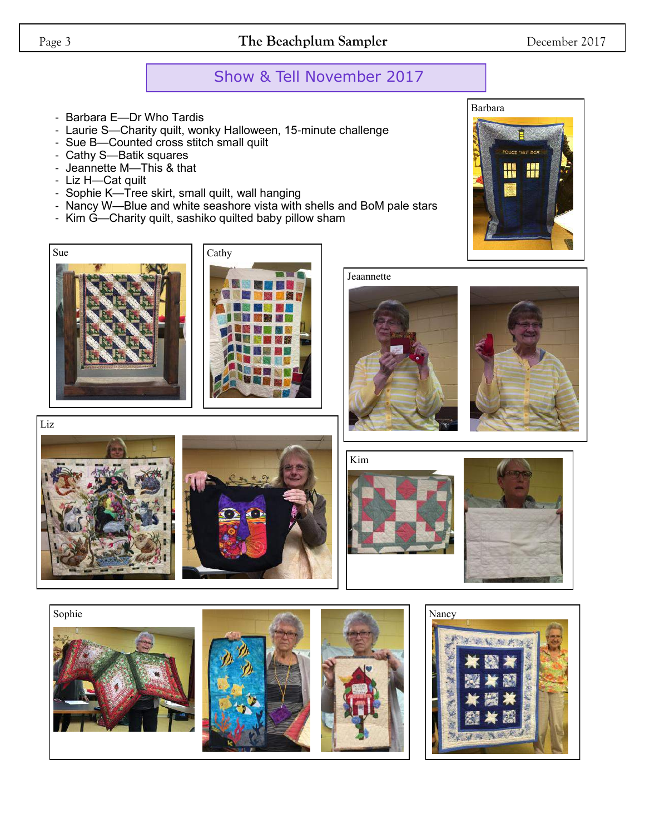### Page 3 **The Beachplum Sampler** December 2017

## Show & Tell November 2017

- Barbara E—Dr Who Tardis
- Laurie S—Charity quilt, wonky Halloween, 15-minute challenge
- Sue B—Counted cross stitch small quilt
- Cathy S—Batik squares
- Jeannette M—This & that
- Liz H—Cat quilt
- Sophie K—Tree skirt, small quilt, wall hanging
- Nancy W—Blue and white seashore vista with shells and BoM pale stars
- Kim G—Charity quilt, sashiko quilted baby pillow sham







Jeaannette





Liz





Kim





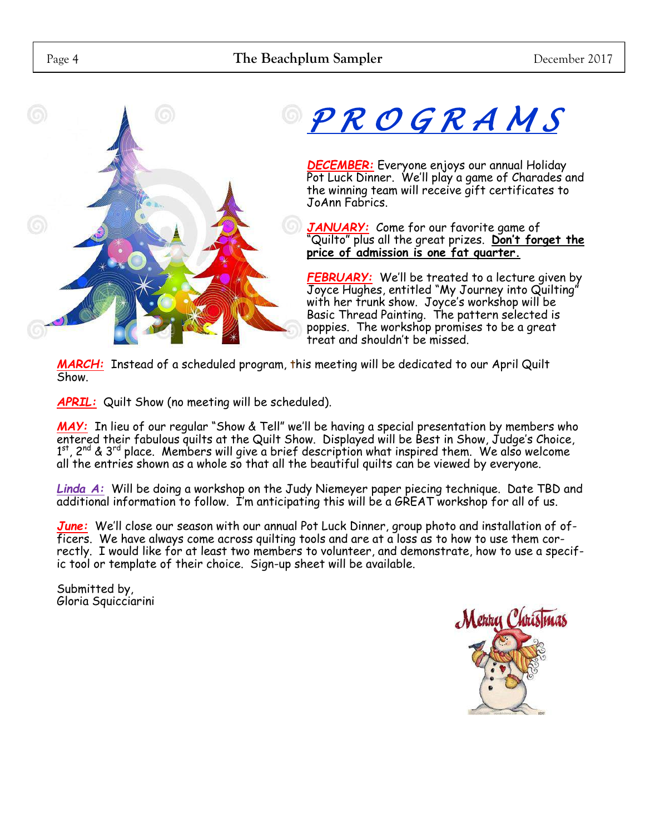



# *P R O G R A M S*

*DECEMBER:* Everyone enjoys our annual Holiday Pot Luck Dinner. We'll play a game of Charades and the winning team will receive gift certificates to JoAnn Fabrics.

*JANUARY:* Come for our favorite game of Quilto" plus all the great prizes. Don't forget the **price of admission is one fat quarter.**

*FEBRUARY:* We'll be treated to a lecture given by Joyce Hughes, entitled "My Journey into Quilting" with her trunk show. Joyce's workshop will be Basic Thread Painting. The pattern selected is poppies. The workshop promises to be a great treat and shouldn't be missed.

*MARCH:* Instead of a scheduled program, this meeting will be dedicated to our April Quilt Show.

*APRIL:* Quilt Show (no meeting will be scheduled).

*MAY:* In lieu of our regular "Show & Tell" we'll be having a special presentation by members who entered their fabulous quilts at the Quilt Show. Displayed will be Best in Show, Judge's Choice,  $1<sup>st</sup>$ , 2<sup>nd</sup> & 3<sup>rd</sup> place. Members will give a brief description what inspired them. We also welcome all the entries shown as a whole so that all the beautiful quilts can be viewed by everyone.

*Linda A:* Will be doing a workshop on the Judy Niemeyer paper piecing technique. Date TBD and additional information to follow. I'm anticipating this will be a GREAT workshop for all of us.

*June:* We'll close our season with our annual Pot Luck Dinner, group photo and installation of officers. We have always come across quilting tools and are at a loss as to how to use them correctly. I would like for at least two members to volunteer, and demonstrate, how to use a specific tool or template of their choice. Sign-up sheet will be available.

Submitted by, Gloria Squicciarini

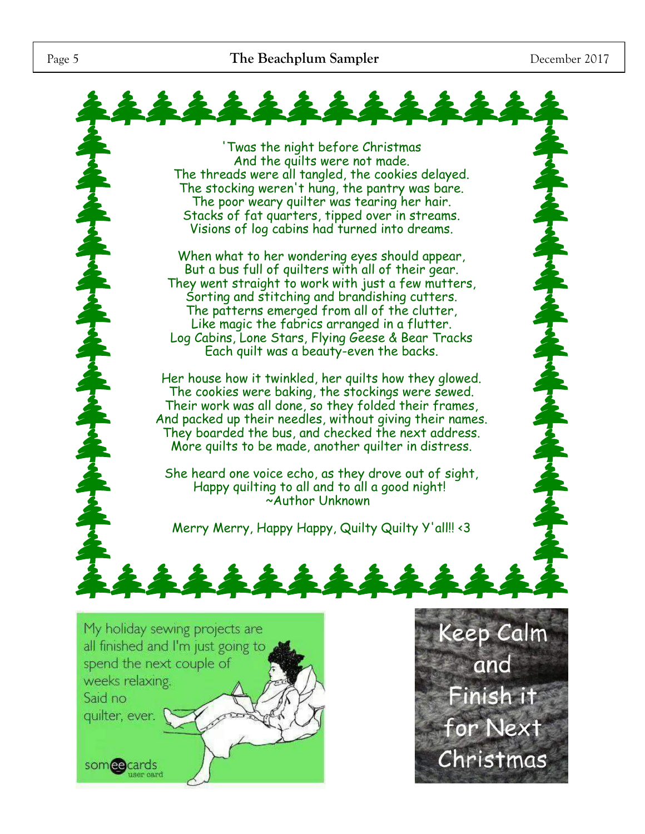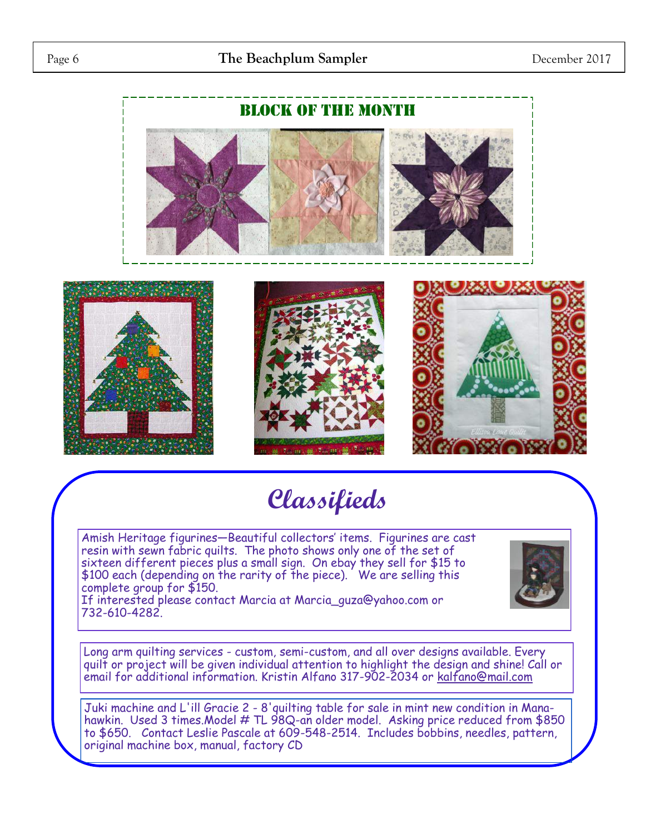

# **Classifieds**

Amish Heritage figurines—Beautiful collectors' items. Figurines are cast resin with sewn fabric quilts. The photo shows only one of the set of sixteen different pieces plus a small sign. On ebay they sell for \$15 to \$100 each (depending on the rarity of the piece). We are selling this complete group for \$150.

If interested please contact Marcia at Marcia\_guza@yahoo.com or 732-610-4282.



Long arm quilting services - custom, semi-custom, and all over designs available. Every quilt or project will be given individual attention to highlight the design and shine! Call or email for additional information. Kristin Alfano 317-902-2034 or [kalfano@mail.com](mailto:kalfano@mail.com)

Juki machine and L'ill Gracie 2 - 8'quilting table for sale in mint new condition in Manahawkin. Used 3 times.Model # TL 98Q-an older model. Asking price reduced from \$850 to \$650. Contact Leslie Pascale at 609-548-2514. Includes bobbins, needles, pattern, original machine box, manual, factory CD